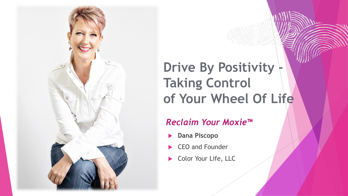

## **Drive By Positivity Taking Control of Your Wheel Of Life**

#### *Reclaim Your Moxie™*

- **Dana Piscopo**
- CEO and Founder
- Color Your Life, LLC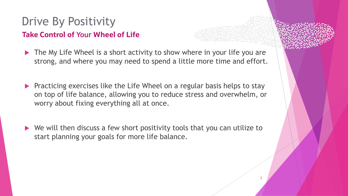#### Drive By Positivity

#### **Take Control of Your Wheel of Life**

- $\blacktriangleright$  The My Life Wheel is a short activity to show where in your life you are strong, and where you may need to spend a little more time and effort.
- **Practicing exercises like the Life Wheel on a regular basis helps to stay** on top of life balance, allowing you to reduce stress and overwhelm, or worry about fixing everything all at once.
- ▶ We will then discuss a few short positivity tools that you can utilize to start planning your goals for more life balance.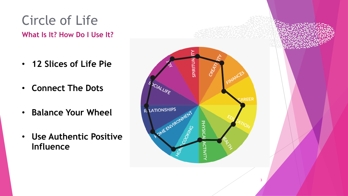# **What Is It? How Do I Use It?** Circle of Life

- **12 Slices of Life Pie**
- **Connect The Dots**
- **Balance Your Wheel**
- **Use Authentic Positive Influence**



3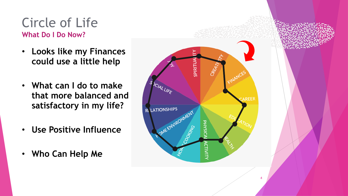#### **What Do I Do Now?** Circle of Life

- **Looks like my Finances could use a little help**
- **What can I do to make that more balanced and satisfactory in my life?**
- **Use Positive Influence**
- **Who Can Help Me**

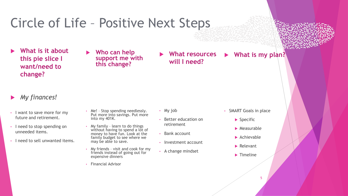- **What is it about this pie slice I want/need to change?**
- **Who can help support me with this change?**
- **What resources will I need?**

**What is my plan?**

#### *My finances!*

- I want to save more for my future and retirement.
- I need to stop spending on unneeded items.
- I need to sell unwanted items.
- Me! Stop spending needlessly. Put more into savings. Put more into my 401K.
- My family learn to do things without having to spend a lot of money to have fun. Look at the family budget to see where we may be able to save.
- My friends visit and cook for my friends instead of going out for expensive dinners
- Financial Advisor
- My job
- Better education on retirement
- Bank account
- Investment account
- A change mindset
- SMART Goals in place
	- $\blacktriangleright$  Specific
	- $\blacktriangleright$  Measurable
	- $\blacktriangleright$  Achievable
	- ▶ Relevant
	- $\blacktriangleright$  Timeline

5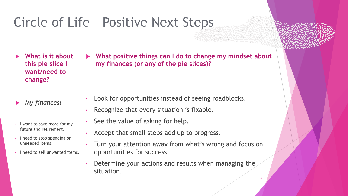- **What is it about this pie slice I want/need to change?**
- *My finances!*
- I want to save more for my future and retirement.
- I need to stop spending on unneeded items.
- I need to sell unwanted items.

 **What positive things can I do to change my mindset about my finances (or any of the pie slices)?**

- Look for opportunities instead of seeing roadblocks.
- Recognize that every situation is fixable.
- See the value of asking for help.
- Accept that small steps add up to progress.
- Turn your attention away from what's wrong and focus on opportunities for success.
- Determine your actions and results when managing the situation.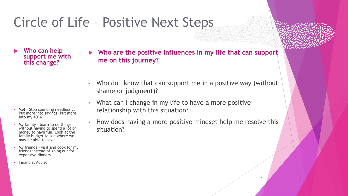**Who can help support me with this change?** 

- Me! Stop spending needlessly. Put more into savings. Put more into my 401K.
- My family learn to do things without having to spend a lot of money to have fun. Look at the family budget to see where we may be able to save.
- My friends visit and cook for my friends instead of going out for expensive dinners
- Financial Advisor

 **Who are the positive influences in my life that can support me on this journey?**

- Who do I know that can support me in a positive way (without shame or judgment)?
- What can I change in my life to have a more positive relationship with this situation?
- How does having a more positive mindset help me resolve this situation?

7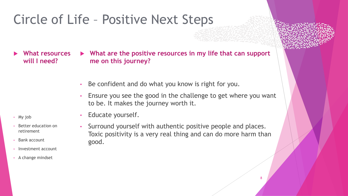**What resources will I need?**

 **What are the positive resources in my life that can support me on this journey?**

- Be confident and do what you know is right for you.
- Ensure you see the good in the challenge to get where you want to be. It makes the journey worth it.

- My job
- Better education on retirement
- Bank account
- Investment account
- A change mindset
- Educate yourself.
	- Surround yourself with authentic positive people and places. Toxic positivity is a very real thing and can do more harm than good.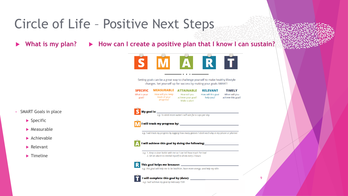What is my plan?  $\triangleright$  How can I create a positive plan that I know I can sustain?



Setting goals can be a great way to challenge yourself to make healthy lifestyle changes. Set yourself up for success by making your goals SMART!

| <b>SPECIFIC</b>       | <b>MEASURABLE</b>                               | <b>ATTAINABLE</b>                                  | <b>RELEVANT</b>                 |
|-----------------------|-------------------------------------------------|----------------------------------------------------|---------------------------------|
| What is your<br>goal? | How will you keep<br>track of your<br>progress? | How will you<br>achieve your goal?<br>Make a plan! | How will this goal<br>help you? |

**TIMELY** When will you achieve this goal?

9

• SMART Goals in place

- $\blacktriangleright$  Specific
- $\blacktriangleright$  Measurable
- $\blacktriangleright$  Achievable
- $\blacktriangleright$  Relevant
- $\blacktriangleright$  Timeline

**S** My goal is:  $\frac{e.g. \text{ To drink more water! I will aim for 6 cups per day}}{e.g. \text{ To drink more water! I will aim for 6 cups per day}}$ 

**M** I will track my progress by:

e.g. I will track my progress by logging how many glasses I drink each day in my phone or planner

#### I will achieve this goal by doing the following:

e.g. 1. Keep a clear bottle with me so I can tell how much I've had 2. Set an alarm to remind myself to drink every 2 hours

#### 

e.g. This goal will help me to be healthier, have more energy, and help my skin



e.g. I will achieve my goal by February 15th